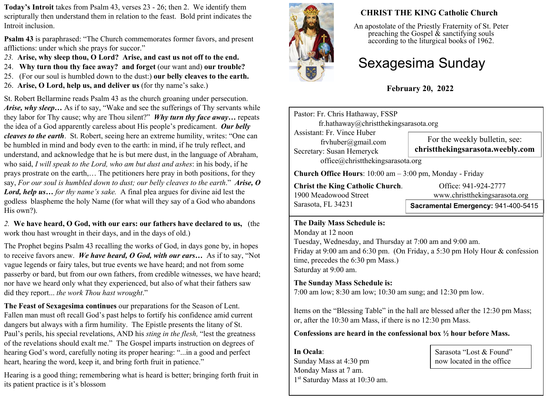**Today's Introit** takes from Psalm 43, verses 23 - 26; then 2. We identify them scripturally then understand them in relation to the feast. Bold print indicates the Introit inclusion.

**Psalm 43** is paraphrased: "The Church commemorates former favors, and present afflictions: under which she prays for succor."

- *23.* **Arise, why sleep thou, O Lord? Arise, and cast us not off to the end.**
- 24. **Why turn thou thy face away? and forget** (our want and) **our trouble?**
- 25. (For our soul is humbled down to the dust:) **our belly cleaves to the earth.**
- 26. **Arise, O Lord, help us, and deliver us** (for thy name's sake.)

St. Robert Bellarmine reads Psalm 43 as the church groaning under persecution. *Arise, why sleep…* As if to say, "Wake and see the sufferings of Thy servants while they labor for Thy cause; why are Thou silent?" *Why turn thy face away…* repeats the idea of a God apparently careless about His people's predicament. *Our belly cleaves to the earth*. St. Robert, seeing here an extreme humility, writes: "One can be humbled in mind and body even to the earth: in mind, if he truly reflect, and understand, and acknowledge that he is but mere dust, in the language of Abraham, who said, *I will speak to the Lord, who am but dust and ashes*: in his body, if he prays prostrate on the earth,… The petitioners here pray in both positions, for they say, *For our soul is humbled down to dust; our belly cleaves to the earth*." *Arise, O Lord, help us… for thy name's sake.* A final plea argues for divine aid lest the godless blaspheme the holy Name (for what will they say of a God who abandons His own?).

*2.* **We have heard, O God, with our ears: our fathers have declared to us,** (the work thou hast wrought in their days, and in the days of old.)

The Prophet begins Psalm 43 recalling the works of God, in days gone by, in hopes to receive favors anew. *We have heard, O God, with our ears…* As if to say, "Not vague legends or fairy tales, but true events we have heard; and not from some passerby or bard, but from our own fathers, from credible witnesses, we have heard; nor have we heard only what they experienced, but also of what their fathers saw did they report... *the work Thou hast wrought*."

**The Feast of Sexagesima continues** our preparations for the Season of Lent. Fallen man must oft recall God's past helps to fortify his confidence amid current dangers but always with a firm humility. The Epistle presents the litany of St. Paul's perils, his special revelations, AND his *sting in the flesh,* "lest the greatness of the revelations should exalt me." The Gospel imparts instruction on degrees of hearing God's word, carefully noting its proper hearing: "...in a good and perfect heart, hearing the word, keep it, and bring forth fruit in patience."

Hearing is a good thing; remembering what is heard is better; bringing forth fruit in its patient practice is it's blossom



## **CHRIST THE KING Catholic Church**

An apostolate of the Priestly Fraternity of St. Peter preaching the Gospel  $\&$  sanctifying souls according to the liturgical books of 1962.

# Sexagesima Sunday

**February 20, 2022**

| Pastor: Fr. Chris Hathaway, FSSP                                                                                                                                                                                                                         | fr.hathaway@christthekingsarasota.org |  |  |
|----------------------------------------------------------------------------------------------------------------------------------------------------------------------------------------------------------------------------------------------------------|---------------------------------------|--|--|
| <b>Assistant: Fr. Vince Huber</b>                                                                                                                                                                                                                        | For the weekly bulletin, see:         |  |  |
| frvhuber@gmail.com                                                                                                                                                                                                                                       | christthekingsarasota.weebly.com      |  |  |
| Secretary: Susan Hemeryck                                                                                                                                                                                                                                | office@christthekingsarasota.org      |  |  |
| <b>Church Office Hours</b> : $10:00$ am $-3:00$ pm, Monday - Friday                                                                                                                                                                                      |                                       |  |  |
| <b>Christ the King Catholic Church.</b>                                                                                                                                                                                                                  | Office: 941-924-2777                  |  |  |
| 1900 Meadowood Street                                                                                                                                                                                                                                    | www.christthekingsarasota.org         |  |  |
| Sarasota, FL 34231                                                                                                                                                                                                                                       | Sacramental Emergency: 941-400-5415   |  |  |
| The Daily Mass Schedule is:<br>Monday at 12 noon<br>Tuesday, Wednesday, and Thursday at 7:00 am and 9:00 am.<br>Friday at 9:00 am and 6:30 pm. (On Friday, a 5:30 pm Holy Hour & confession<br>time, precedes the 6:30 pm Mass.)<br>Saturday at 9:00 am. |                                       |  |  |

### **The Sunday Mass Schedule is:**

7:00 am low; 8:30 am low; 10:30 am sung; and 12:30 pm low.

Items on the "Blessing Table" in the hall are blessed after the 12:30 pm Mass; or, after the 10:30 am Mass, if there is no 12:30 pm Mass.

#### **Confessions are heard in the confessional box ½ hour before Mass.**

**In Ocala**: Sunday Mass at 4:30 pm Monday Mass at 7 am. 1 st Saturday Mass at 10:30 am.

Sarasota "Lost & Found" now located in the office